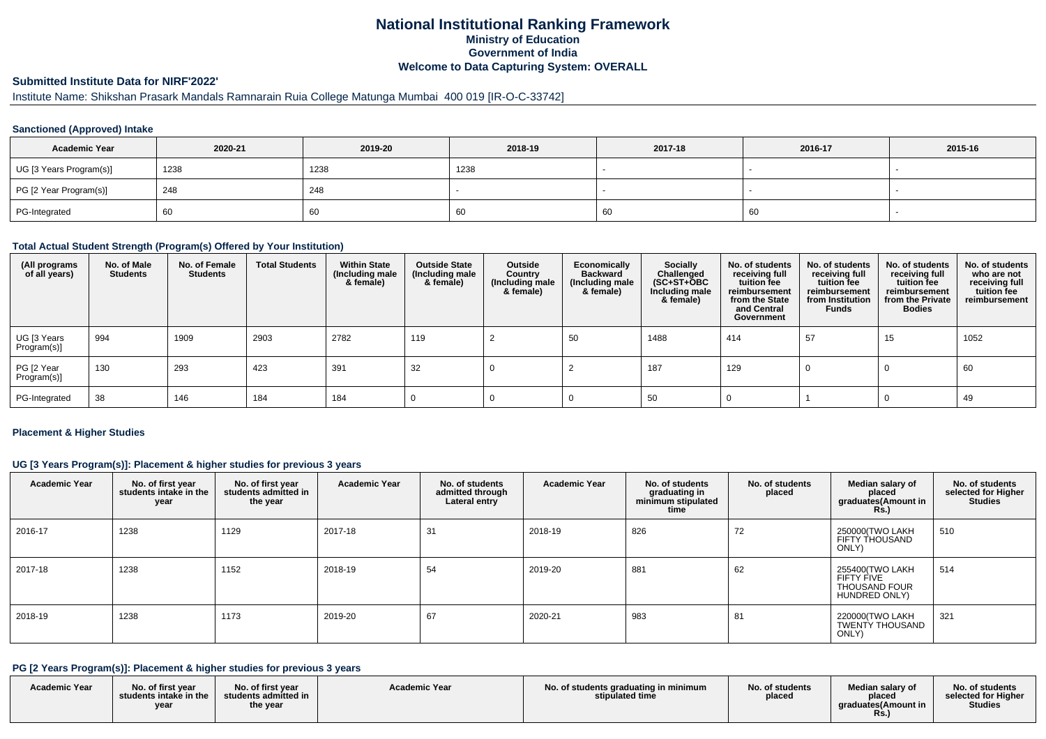## **National Institutional Ranking FrameworkMinistry of Education Government of IndiaWelcome to Data Capturing System: OVERALL**

## **Submitted Institute Data for NIRF'2022'**

## Institute Name: Shikshan Prasark Mandals Ramnarain Ruia College Matunga Mumbai 400 019 [IR-O-C-33742]

#### **Sanctioned (Approved) Intake**

| <b>Academic Year</b>    | 2020-21 | 2019-20 | 2018-19 | 2017-18 | 2016-17 | 2015-16 |
|-------------------------|---------|---------|---------|---------|---------|---------|
| UG [3 Years Program(s)] | 1238    | 1238    | 1238    |         |         |         |
| PG [2 Year Program(s)]  | 248     | 248     |         |         |         |         |
| PG-Integrated           | -60     | σU      | 60      | 60      | -60     |         |

#### **Total Actual Student Strength (Program(s) Offered by Your Institution)**

| (All programs<br>of all years) | No. of Male<br><b>Students</b> | No. of Female<br><b>Students</b> | <b>Total Students</b> | <b>Within State</b><br>(Including male<br>& female) | <b>Outside State</b><br>(Including male<br>& female) | Outside<br>Country<br>(Including male<br>& female) | Economically<br><b>Backward</b><br>(Including male<br>& female) | Socially<br>Challenged<br>$(SC+ST+OBC$<br>Including male<br>& female) | No. of students<br>receiving full<br>tuition fee<br>reimbursement<br>from the State<br>and Central<br>Government | No. of students<br>receiving full<br>tuition fee<br>reimbursement<br>from Institution<br><b>Funds</b> | No. of students<br>receiving full<br>tuition fee<br>reimbursement<br>from the Private<br><b>Bodies</b> | No. of students<br>who are not<br>receiving full<br>tuition fee<br>reimbursement |
|--------------------------------|--------------------------------|----------------------------------|-----------------------|-----------------------------------------------------|------------------------------------------------------|----------------------------------------------------|-----------------------------------------------------------------|-----------------------------------------------------------------------|------------------------------------------------------------------------------------------------------------------|-------------------------------------------------------------------------------------------------------|--------------------------------------------------------------------------------------------------------|----------------------------------------------------------------------------------|
| UG [3 Years<br>Program(s)]     | 994                            | 1909                             | 2903                  | 2782                                                | 119                                                  |                                                    | 50                                                              | 1488                                                                  | 414                                                                                                              | 57                                                                                                    | 15                                                                                                     | 1052                                                                             |
| PG [2 Year<br>Program(s)]      | 130                            | 293                              | 423                   | 391                                                 | 32                                                   |                                                    |                                                                 | 187                                                                   | 129                                                                                                              |                                                                                                       |                                                                                                        | 60                                                                               |
| PG-Integrated                  | 38                             | 146                              | 184                   | 184                                                 |                                                      |                                                    |                                                                 | 50                                                                    |                                                                                                                  |                                                                                                       |                                                                                                        | 49                                                                               |

#### **Placement & Higher Studies**

#### **UG [3 Years Program(s)]: Placement & higher studies for previous 3 years**

| <b>Academic Year</b> | No. of first year<br>students intake in the<br>year | No. of first year<br>students admitted in<br>the year | <b>Academic Year</b> | No. of students<br>admitted through<br>Lateral entry | <b>Academic Year</b> | No. of students<br>graduating in<br>minimum stipulated<br>time | No. of students<br>placed | Median salary of<br>placed<br>graduates(Amount in<br><b>Rs.</b> )             | No. of students<br>selected for Higher<br><b>Studies</b> |
|----------------------|-----------------------------------------------------|-------------------------------------------------------|----------------------|------------------------------------------------------|----------------------|----------------------------------------------------------------|---------------------------|-------------------------------------------------------------------------------|----------------------------------------------------------|
| 2016-17              | 1238                                                | 1129                                                  | 2017-18              | 31                                                   | 2018-19              | 826                                                            | 72                        | 250000(TWO LAKH<br>FIFTY THOUSAND<br>ONLY)                                    | 510                                                      |
| 2017-18              | 1238                                                | 1152                                                  | 2018-19              | 54                                                   | 2019-20              | 881                                                            | 62                        | 255400(TWO LAKH<br>FIFTY FIVE<br><b>THOUSAND FOUR</b><br><b>HUNDRED ONLY)</b> | 514                                                      |
| 2018-19              | 1238                                                | 1173                                                  | 2019-20              | 67                                                   | 2020-21              | 983                                                            | 81                        | 220000(TWO LAKH<br>TWENTY THOUSAND<br>ONLY)                                   | 321                                                      |

#### **PG [2 Years Program(s)]: Placement & higher studies for previous 3 years**

| <b>Academic Year</b> | No. of first year<br>students intake in the<br>vear | No. of first year<br>students admitted in<br>the year | <b>Academic Year</b> | No. of students graduating in minimum<br>stipulated time | No. of students<br>placed | Median salary of<br>placed<br>araduates (Amount in<br>Rs. | No. of students<br>selected for Higher<br><b>Studies</b> |
|----------------------|-----------------------------------------------------|-------------------------------------------------------|----------------------|----------------------------------------------------------|---------------------------|-----------------------------------------------------------|----------------------------------------------------------|
|----------------------|-----------------------------------------------------|-------------------------------------------------------|----------------------|----------------------------------------------------------|---------------------------|-----------------------------------------------------------|----------------------------------------------------------|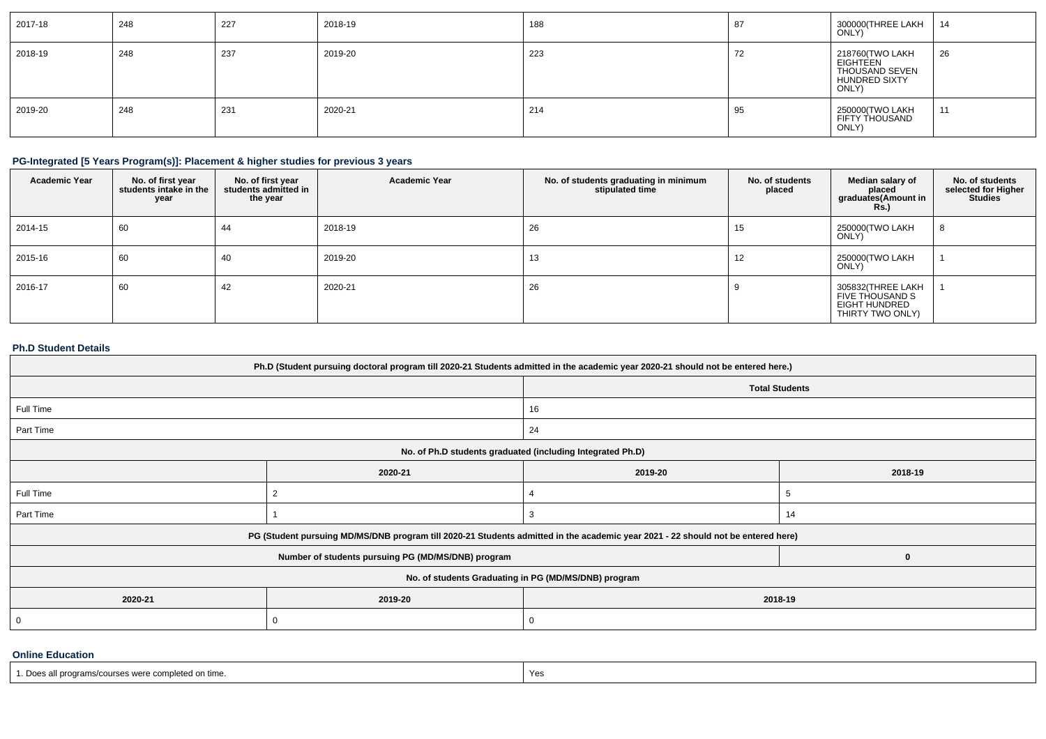| 2017-18 | 248 | 227 | 2018-19 | 188 | 87 | 300000(THREE LAKH<br>ONLY)                                                     | -14 |
|---------|-----|-----|---------|-----|----|--------------------------------------------------------------------------------|-----|
| 2018-19 | 248 | 237 | 2019-20 | 223 | 74 | 218760(TWO LAKH<br>EIGHTEEN<br>THOUSAND SEVEN<br><b>HUNDRED SIXTY</b><br>ONLY) | 26  |
| 2019-20 | 248 | 231 | 2020-21 | 214 | 95 | 250000(TWO LAKH<br>FIFTY THOUSAND<br>ONLY)                                     | 11  |

## **PG-Integrated [5 Years Program(s)]: Placement & higher studies for previous 3 years**

| <b>Academic Year</b> | No. of first year<br>students intake in the<br>year | No. of first year<br>students admitted in<br>the year | <b>Academic Year</b> | No. of students graduating in minimum<br>stipulated time | No. of students<br>placed | Median salary of<br>placed<br>graduates(Amount in<br><b>Rs.)</b>                 | No. of students<br>selected for Higher<br><b>Studies</b> |
|----------------------|-----------------------------------------------------|-------------------------------------------------------|----------------------|----------------------------------------------------------|---------------------------|----------------------------------------------------------------------------------|----------------------------------------------------------|
| 2014-15              | 60                                                  | 44                                                    | 2018-19              | 26                                                       | 15                        | 250000(TWO LAKH<br>ONLY)                                                         | 8                                                        |
| 2015-16              | 60                                                  | 40                                                    | 2019-20              | 13                                                       | 12                        | 250000(TWO LAKH<br>ONLY)                                                         |                                                          |
| 2016-17              | 60                                                  | 42                                                    | 2020-21              | 26                                                       |                           | 305832(THREE LAKH<br>FIVE THOUSAND S<br><b>EIGHT HUNDRED</b><br>THIRTY TWO ONLY) |                                                          |

## **Ph.D Student Details**

| Ph.D (Student pursuing doctoral program till 2020-21 Students admitted in the academic year 2020-21 should not be entered here.) |                                                                                                                                  |                                                            |    |  |  |  |
|----------------------------------------------------------------------------------------------------------------------------------|----------------------------------------------------------------------------------------------------------------------------------|------------------------------------------------------------|----|--|--|--|
|                                                                                                                                  | <b>Total Students</b>                                                                                                            |                                                            |    |  |  |  |
| Full Time                                                                                                                        |                                                                                                                                  | 16                                                         |    |  |  |  |
| Part Time                                                                                                                        |                                                                                                                                  | 24                                                         |    |  |  |  |
|                                                                                                                                  |                                                                                                                                  | No. of Ph.D students graduated (including Integrated Ph.D) |    |  |  |  |
| 2020-21<br>2019-20<br>2018-19                                                                                                    |                                                                                                                                  |                                                            |    |  |  |  |
| Full Time                                                                                                                        |                                                                                                                                  |                                                            |    |  |  |  |
| Part Time                                                                                                                        |                                                                                                                                  |                                                            | 14 |  |  |  |
|                                                                                                                                  | PG (Student pursuing MD/MS/DNB program till 2020-21 Students admitted in the academic year 2021 - 22 should not be entered here) |                                                            |    |  |  |  |
|                                                                                                                                  | Number of students pursuing PG (MD/MS/DNB) program                                                                               |                                                            |    |  |  |  |
| No. of students Graduating in PG (MD/MS/DNB) program                                                                             |                                                                                                                                  |                                                            |    |  |  |  |
| 2020-21                                                                                                                          | 2019-20<br>2018-19                                                                                                               |                                                            |    |  |  |  |
| 0<br>0                                                                                                                           |                                                                                                                                  |                                                            |    |  |  |  |

#### **Online Education**

| n-<br>1 urne<br><b>EXAMPLE OF STRAIGHTS CONTROL</b><br>inieren on | Y OL |
|-------------------------------------------------------------------|------|
|                                                                   |      |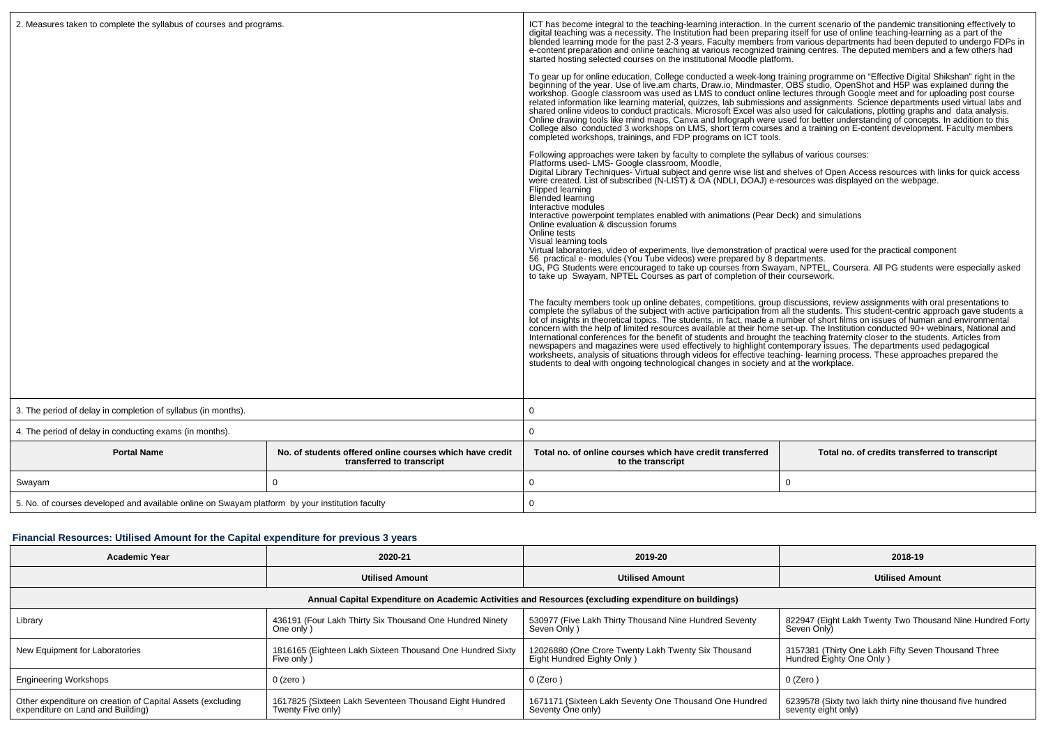| 2. Measures taken to complete the syllabus of courses and programs.                             |                                                                                       | ICT has become integral to the teaching-learning interaction. In the current scenario of the pandemic transitioning effectively to<br>digital teaching was a necessity. The Institution had been preparing itself for use of online teaching-learning as a part of the<br>blended learning mode for the past 2-3 years. Faculty members from various departments had been deputed to undergo FDPs in<br>e-content preparation and online teaching at various recognized training centres. The deputed members and a few others had<br>started hosting selected courses on the institutional Moodle platform.                                                                                                                                                                                                                                                                                                                                                |                                                |  |  |
|-------------------------------------------------------------------------------------------------|---------------------------------------------------------------------------------------|-------------------------------------------------------------------------------------------------------------------------------------------------------------------------------------------------------------------------------------------------------------------------------------------------------------------------------------------------------------------------------------------------------------------------------------------------------------------------------------------------------------------------------------------------------------------------------------------------------------------------------------------------------------------------------------------------------------------------------------------------------------------------------------------------------------------------------------------------------------------------------------------------------------------------------------------------------------|------------------------------------------------|--|--|
|                                                                                                 |                                                                                       | To gear up for online education, College conducted a week-long training programme on "Effective Digital Shikshan" right in the beginning of the year. Use of live am charts, Draw io, Mindmaster, OBS studio, OpenShot and H5P<br>workshop. Google classroom was used as LMS to conduct online lectures through Google meet and for uploading post course<br>related information like learning material, quizzes, lab submissions and assignments. Science departments used virtual labs and<br>shared online videos to conduct practicals. Microsoft Excel was also used for calculations, plotting graphs and data analysis.<br>Online drawing tools like mind maps, Canva and Infograph were used for better understanding of concepts. In addition to this<br>College also conducted 3 workshops on LMS, short term courses and a training on E-content development. Faculty members<br>completed workshops, trainings, and FDP programs on ICT tools.  |                                                |  |  |
|                                                                                                 |                                                                                       | Following approaches were taken by faculty to complete the syllabus of various courses:<br>Platforms used- LMS- Google classroom, Moodle,<br>Digital Library Techniques- Virtual subject and genre wise list and shelves of Open Access resources with links for quick access<br>were created. List of subscribed (N-LIST) & OA (NDLI, DOAJ) e-resources was displayed on the webpage.<br>Flipped learning<br>Blended learning<br>Interactive modules<br>Interactive powerpoint templates enabled with animations (Pear Deck) and simulations<br>Online evaluation & discussion forums<br>Online tests<br>Visual learning tools<br>Virtual laboratories, video of experiments, live demonstration of practical were used for the practical component<br>56 practical e- modules (You Tube videos) were prepared by 8 departments.<br>UG, PG Students were encouraged to take up courses from Swayam, NPTEL, Coursera. All PG students were especially asked |                                                |  |  |
|                                                                                                 |                                                                                       | to take up Swayam, NPTEL Courses as part of completion of their coursework.<br>The faculty members took up online debates, competitions, group discussions, review assignments with oral presentations to<br>complete the syllabus of the subject with active participation from all the students. This student-<br>International conferences for the benefit of students and brought the teaching fraternity closer to the students. Articles from<br>newspapers and magazines were used effectively to highlight contemporary issues. The departments used pedagogical<br>worksheets, analysis of situations through videos for effective teaching-learning process. These approaches prepared the<br>students to deal with ongoing technological changes in society and at the workplace.                                                                                                                                                                |                                                |  |  |
| 3. The period of delay in completion of syllabus (in months).                                   |                                                                                       | $\Omega$                                                                                                                                                                                                                                                                                                                                                                                                                                                                                                                                                                                                                                                                                                                                                                                                                                                                                                                                                    |                                                |  |  |
| 4. The period of delay in conducting exams (in months).                                         |                                                                                       | 0                                                                                                                                                                                                                                                                                                                                                                                                                                                                                                                                                                                                                                                                                                                                                                                                                                                                                                                                                           |                                                |  |  |
| <b>Portal Name</b>                                                                              | No. of students offered online courses which have credit<br>transferred to transcript | Total no, of online courses which have credit transferred<br>to the transcript                                                                                                                                                                                                                                                                                                                                                                                                                                                                                                                                                                                                                                                                                                                                                                                                                                                                              | Total no. of credits transferred to transcript |  |  |
| Swayam                                                                                          | 0                                                                                     | 0                                                                                                                                                                                                                                                                                                                                                                                                                                                                                                                                                                                                                                                                                                                                                                                                                                                                                                                                                           | 0                                              |  |  |
| 5. No. of courses developed and available online on Swayam platform by your institution faculty |                                                                                       | $\mathbf 0$                                                                                                                                                                                                                                                                                                                                                                                                                                                                                                                                                                                                                                                                                                                                                                                                                                                                                                                                                 |                                                |  |  |

# **Financial Resources: Utilised Amount for the Capital expenditure for previous 3 years**

| Academic Year                                                                                        | 2020-21                                                                     | 2019-20                                                                           | 2018-19                                                                          |  |  |  |
|------------------------------------------------------------------------------------------------------|-----------------------------------------------------------------------------|-----------------------------------------------------------------------------------|----------------------------------------------------------------------------------|--|--|--|
|                                                                                                      | <b>Utilised Amount</b>                                                      | <b>Utilised Amount</b>                                                            | <b>Utilised Amount</b>                                                           |  |  |  |
| Annual Capital Expenditure on Academic Activities and Resources (excluding expenditure on buildings) |                                                                             |                                                                                   |                                                                                  |  |  |  |
| Library                                                                                              | 436191 (Four Lakh Thirty Six Thousand One Hundred Ninety<br>One only )      | 530977 (Five Lakh Thirty Thousand Nine Hundred Seventy<br>Seven Only)             | 822947 (Eight Lakh Twenty Two Thousand Nine Hundred Forty<br>Seven Only          |  |  |  |
| New Equipment for Laboratories                                                                       | 1816165 (Eighteen Lakh Sixteen Thousand One Hundred Sixty<br>Five only)     | 12026880 (One Crore Twenty Lakh Twenty Six Thousand<br>Eight Hundred Eighty Only) | 3157381 (Thirty One Lakh Fifty Seven Thousand Three<br>Hundred Eighty One Only ) |  |  |  |
| <b>Engineering Workshops</b>                                                                         | $0$ (zero)                                                                  | 0 (Zero)                                                                          | 0 (Zero)                                                                         |  |  |  |
| Other expenditure on creation of Capital Assets (excluding<br>expenditure on Land and Building)      | 1617825 (Sixteen Lakh Seventeen Thousand Eight Hundred<br>Twenty Five only) | 1671171 (Sixteen Lakh Seventy One Thousand One Hundred<br>Seventy One only)       | 6239578 (Sixty two lakh thirty nine thousand five hundred<br>seventy eight only) |  |  |  |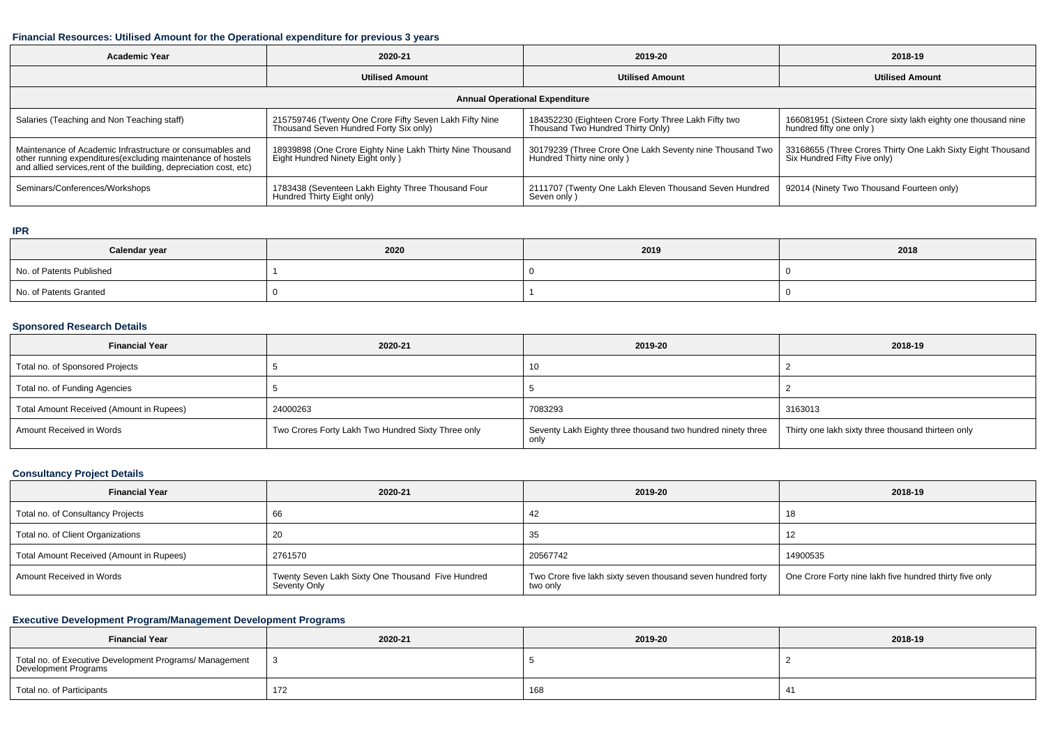#### **Financial Resources: Utilised Amount for the Operational expenditure for previous 3 years**

| <b>Academic Year</b><br>2020-21                                                                                                                                                                |                                                                                                   | 2019-20                                                                                   | 2018-19                                                                                     |
|------------------------------------------------------------------------------------------------------------------------------------------------------------------------------------------------|---------------------------------------------------------------------------------------------------|-------------------------------------------------------------------------------------------|---------------------------------------------------------------------------------------------|
|                                                                                                                                                                                                | <b>Utilised Amount</b>                                                                            | <b>Utilised Amount</b>                                                                    | <b>Utilised Amount</b>                                                                      |
|                                                                                                                                                                                                | <b>Annual Operational Expenditure</b>                                                             |                                                                                           |                                                                                             |
| Salaries (Teaching and Non Teaching staff)                                                                                                                                                     | 215759746 (Twenty One Crore Fifty Seven Lakh Fifty Nine<br>Thousand Seven Hundred Forty Six only) | 184352230 (Eighteen Crore Forty Three Lakh Fifty two<br>Thousand Two Hundred Thirty Only) | 166081951 (Sixteen Crore sixty lakh eighty one thousand nine<br>hundred fifty one only)     |
| Maintenance of Academic Infrastructure or consumables and<br>other running expenditures(excluding maintenance of hostels<br>and allied services, rent of the building, depreciation cost, etc) | 18939898 (One Crore Eighty Nine Lakh Thirty Nine Thousand<br>Eight Hundred Ninety Eight only)     | 30179239 (Three Crore One Lakh Seventy nine Thousand Two<br>Hundred Thirty nine only)     | 33168655 (Three Crores Thirty One Lakh Sixty Eight Thousand<br>Six Hundred Fifty Five only) |
| Seminars/Conferences/Workshops                                                                                                                                                                 | 1783438 (Seventeen Lakh Eighty Three Thousand Four<br>Hundred Thirty Eight only)                  | 2111707 (Twenty One Lakh Eleven Thousand Seven Hundred<br>Seven only)                     | 92014 (Ninety Two Thousand Fourteen only)                                                   |

#### **IPR**

| Calendar year            | 2020 | 2019 | 2018 |
|--------------------------|------|------|------|
| No. of Patents Published |      |      |      |
| No. of Patents Granted   |      |      |      |

#### **Sponsored Research Details**

| <b>Financial Year</b>                    | 2020-21                                            | 2019-20                                                             | 2018-19                                            |
|------------------------------------------|----------------------------------------------------|---------------------------------------------------------------------|----------------------------------------------------|
| Total no. of Sponsored Projects          |                                                    | 10                                                                  |                                                    |
| Total no. of Funding Agencies            |                                                    |                                                                     |                                                    |
| Total Amount Received (Amount in Rupees) | 24000263                                           | 7083293                                                             | 3163013                                            |
| Amount Received in Words                 | Two Crores Forty Lakh Two Hundred Sixty Three only | Seventy Lakh Eighty three thousand two hundred ninety three<br>only | Thirty one lakh sixty three thousand thirteen only |

### **Consultancy Project Details**

| <b>Financial Year</b>                    | 2020-21                                                           | 2019-20                                                                  | 2018-19                                                 |
|------------------------------------------|-------------------------------------------------------------------|--------------------------------------------------------------------------|---------------------------------------------------------|
| Total no. of Consultancy Projects        | 66                                                                | 44                                                                       | 18                                                      |
| Total no. of Client Organizations        | 20                                                                |                                                                          |                                                         |
| Total Amount Received (Amount in Rupees) | 2761570                                                           | 20567742                                                                 | 14900535                                                |
| Amount Received in Words                 | Twenty Seven Lakh Sixty One Thousand Five Hundred<br>Seventy Only | Two Crore five lakh sixty seven thousand seven hundred forty<br>two only | One Crore Forty nine lakh five hundred thirty five only |

## **Executive Development Program/Management Development Programs**

| <b>Financial Year</b>                                                           | 2020-21 | 2019-20 | 2018-19 |
|---------------------------------------------------------------------------------|---------|---------|---------|
| Total no. of Executive Development Programs/ Management<br>Development Programs |         |         |         |
| Total no. of Participants                                                       | 172     | 168     |         |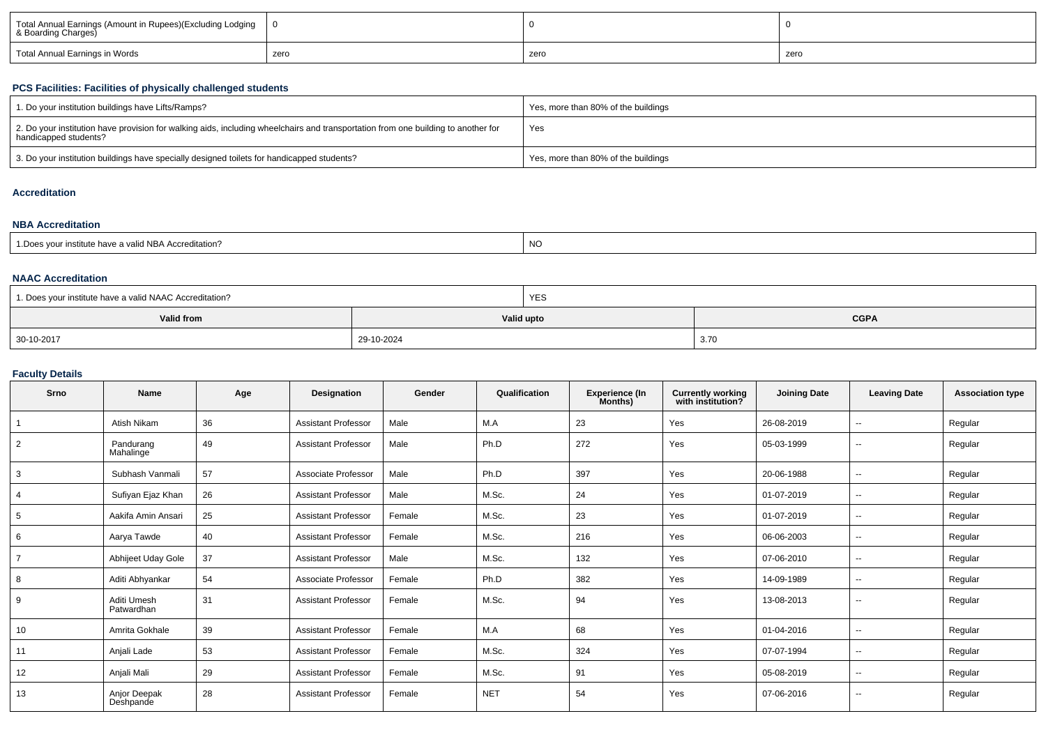| Total Annual Earnings (Amount in Rupees)(Excluding Lodging<br>& Boarding Charges) |      |      |      |
|-----------------------------------------------------------------------------------|------|------|------|
| Total Annual Earnings in Words                                                    | zero | zerc | zero |

#### **PCS Facilities: Facilities of physically challenged students**

| 1. Do your institution buildings have Lifts/Ramps?                                                                                                         | Yes, more than 80% of the buildings |
|------------------------------------------------------------------------------------------------------------------------------------------------------------|-------------------------------------|
| 2. Do your institution have provision for walking aids, including wheelchairs and transportation from one building to another for<br>handicapped students? | Yes                                 |
| 3. Do your institution buildings have specially designed toilets for handicapped students?                                                                 | Yes, more than 80% of the buildings |

## **Accreditation**

#### **NBA Accreditation**

| institute have a valid NBA Accreditation?<br><b>NO</b><br>1. Does your in. |
|----------------------------------------------------------------------------|
|----------------------------------------------------------------------------|

#### **NAAC Accreditation**

| 1. Does your institute have a valid NAAC Accreditation? |            | <b>YES</b> |             |
|---------------------------------------------------------|------------|------------|-------------|
| Valid from                                              |            | Valid upto | <b>CGPA</b> |
| 30-10-2017                                              | 29-10-2024 |            | 3.70        |

#### **Faculty Details**

| Srno           | <b>Name</b>               | Age | Designation                | Gender | Qualification | <b>Experience (In</b><br>Months) | <b>Currently working</b><br>with institution? | <b>Joining Date</b> | <b>Leaving Date</b>      | <b>Association type</b> |
|----------------|---------------------------|-----|----------------------------|--------|---------------|----------------------------------|-----------------------------------------------|---------------------|--------------------------|-------------------------|
|                | Atish Nikam               | 36  | <b>Assistant Professor</b> | Male   | M.A           | 23                               | Yes                                           | 26-08-2019          | $-$                      | Regular                 |
| 2              | Pandurang<br>Mahalinge    | 49  | <b>Assistant Professor</b> | Male   | Ph.D          | 272                              | Yes                                           | 05-03-1999          | $-$                      | Regular                 |
| 3              | Subhash Vanmali           | 57  | Associate Professor        | Male   | Ph.D          | 397                              | Yes                                           | 20-06-1988          | $\overline{\phantom{a}}$ | Regular                 |
| 4              | Sufiyan Ejaz Khan         | 26  | <b>Assistant Professor</b> | Male   | M.Sc.         | 24                               | Yes                                           | 01-07-2019          | $-$                      | Regular                 |
| 5              | Aakifa Amin Ansari        | 25  | <b>Assistant Professor</b> | Female | M.Sc.         | 23                               | Yes                                           | 01-07-2019          | $\sim$                   | Regular                 |
| 6              | Aarya Tawde               | 40  | <b>Assistant Professor</b> | Female | M.Sc.         | 216                              | Yes                                           | 06-06-2003          | $-$                      | Regular                 |
| $\overline{7}$ | Abhijeet Uday Gole        | 37  | <b>Assistant Professor</b> | Male   | M.Sc.         | 132                              | Yes                                           | 07-06-2010          | $\sim$                   | Regular                 |
| 8              | Aditi Abhyankar           | 54  | Associate Professor        | Female | Ph.D          | 382                              | Yes                                           | 14-09-1989          | $\sim$                   | Regular                 |
| 9              | Aditi Umesh<br>Patwardhan | 31  | <b>Assistant Professor</b> | Female | M.Sc.         | 94                               | Yes                                           | 13-08-2013          | $\sim$                   | Regular                 |
| 10             | Amrita Gokhale            | 39  | <b>Assistant Professor</b> | Female | M.A           | 68                               | Yes                                           | 01-04-2016          | $\overline{\phantom{a}}$ | Regular                 |
| 11             | Anjali Lade               | 53  | <b>Assistant Professor</b> | Female | M.Sc.         | 324                              | Yes                                           | 07-07-1994          | $\sim$                   | Regular                 |
| 12             | Anjali Mali               | 29  | <b>Assistant Professor</b> | Female | M.Sc.         | 91                               | Yes                                           | 05-08-2019          | $-$                      | Regular                 |
| 13             | Anjor Deepak<br>Deshpande | 28  | <b>Assistant Professor</b> | Female | <b>NET</b>    | 54                               | Yes                                           | 07-06-2016          | $\sim$                   | Regular                 |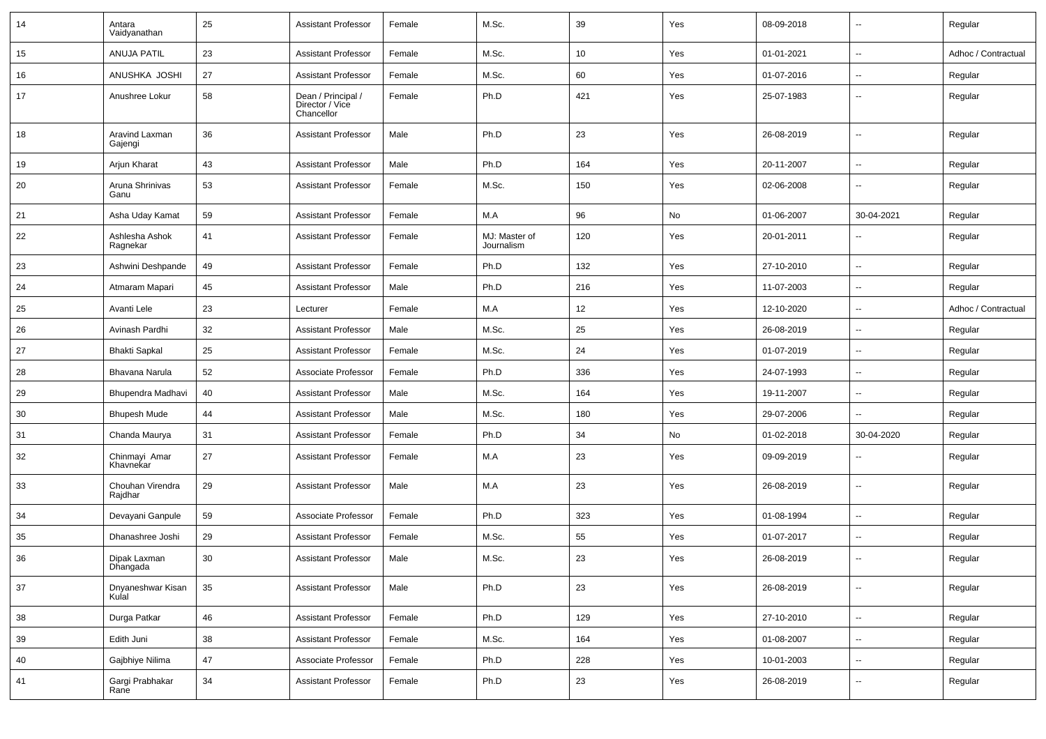| 14 | Antara<br>Vaidyanathan      | 25 | <b>Assistant Professor</b>                          | Female | M.Sc.                       | 39  | Yes | 08-09-2018 | $\overline{\phantom{a}}$ | Regular             |
|----|-----------------------------|----|-----------------------------------------------------|--------|-----------------------------|-----|-----|------------|--------------------------|---------------------|
| 15 | <b>ANUJA PATIL</b>          | 23 | <b>Assistant Professor</b>                          | Female | M.Sc.                       | 10  | Yes | 01-01-2021 | $\overline{\phantom{a}}$ | Adhoc / Contractual |
| 16 | ANUSHKA JOSHI               | 27 | <b>Assistant Professor</b>                          | Female | M.Sc.                       | 60  | Yes | 01-07-2016 | $\sim$                   | Regular             |
| 17 | Anushree Lokur              | 58 | Dean / Principal /<br>Director / Vice<br>Chancellor | Female | Ph.D                        | 421 | Yes | 25-07-1983 | $\overline{\phantom{a}}$ | Regular             |
| 18 | Aravind Laxman<br>Gajengi   | 36 | <b>Assistant Professor</b>                          | Male   | Ph.D                        | 23  | Yes | 26-08-2019 | $\overline{\phantom{a}}$ | Regular             |
| 19 | Arjun Kharat                | 43 | <b>Assistant Professor</b>                          | Male   | Ph.D                        | 164 | Yes | 20-11-2007 | $\sim$                   | Regular             |
| 20 | Aruna Shrinivas<br>Ganu     | 53 | <b>Assistant Professor</b>                          | Female | M.Sc.                       | 150 | Yes | 02-06-2008 | $\overline{\phantom{a}}$ | Regular             |
| 21 | Asha Uday Kamat             | 59 | <b>Assistant Professor</b>                          | Female | M.A                         | 96  | No  | 01-06-2007 | 30-04-2021               | Regular             |
| 22 | Ashlesha Ashok<br>Ragnekar  | 41 | <b>Assistant Professor</b>                          | Female | MJ: Master of<br>Journalism | 120 | Yes | 20-01-2011 | $\overline{\phantom{a}}$ | Regular             |
| 23 | Ashwini Deshpande           | 49 | <b>Assistant Professor</b>                          | Female | Ph.D                        | 132 | Yes | 27-10-2010 | $\overline{\phantom{a}}$ | Regular             |
| 24 | Atmaram Mapari              | 45 | <b>Assistant Professor</b>                          | Male   | Ph.D                        | 216 | Yes | 11-07-2003 | $\sim$                   | Regular             |
| 25 | Avanti Lele                 | 23 | Lecturer                                            | Female | M.A                         | 12  | Yes | 12-10-2020 | $\overline{\phantom{a}}$ | Adhoc / Contractual |
| 26 | Avinash Pardhi              | 32 | <b>Assistant Professor</b>                          | Male   | M.Sc.                       | 25  | Yes | 26-08-2019 | $\overline{\phantom{a}}$ | Regular             |
| 27 | <b>Bhakti Sapkal</b>        | 25 | <b>Assistant Professor</b>                          | Female | M.Sc.                       | 24  | Yes | 01-07-2019 | $\sim$                   | Regular             |
| 28 | Bhavana Narula              | 52 | Associate Professor                                 | Female | Ph.D                        | 336 | Yes | 24-07-1993 | $\overline{\phantom{a}}$ | Regular             |
| 29 | Bhupendra Madhavi           | 40 | <b>Assistant Professor</b>                          | Male   | M.Sc.                       | 164 | Yes | 19-11-2007 | $\overline{\phantom{a}}$ | Regular             |
| 30 | <b>Bhupesh Mude</b>         | 44 | <b>Assistant Professor</b>                          | Male   | M.Sc.                       | 180 | Yes | 29-07-2006 | $\sim$                   | Regular             |
| 31 | Chanda Maurya               | 31 | <b>Assistant Professor</b>                          | Female | Ph.D                        | 34  | No  | 01-02-2018 | 30-04-2020               | Regular             |
| 32 | Chinmayi Amar<br>Khavnekar  | 27 | <b>Assistant Professor</b>                          | Female | M.A                         | 23  | Yes | 09-09-2019 | $\overline{\phantom{a}}$ | Regular             |
| 33 | Chouhan Virendra<br>Rajdhar | 29 | <b>Assistant Professor</b>                          | Male   | M.A                         | 23  | Yes | 26-08-2019 | $\overline{\phantom{a}}$ | Regular             |
| 34 | Devayani Ganpule            | 59 | Associate Professor                                 | Female | Ph.D                        | 323 | Yes | 01-08-1994 | $\overline{\phantom{a}}$ | Regular             |
| 35 | Dhanashree Joshi            | 29 | <b>Assistant Professor</b>                          | Female | M.Sc.                       | 55  | Yes | 01-07-2017 | $\overline{\phantom{a}}$ | Regular             |
| 36 | Dipak Laxman<br>Dhangada    | 30 | <b>Assistant Professor</b>                          | Male   | M.Sc.                       | 23  | Yes | 26-08-2019 | $\overline{\phantom{a}}$ | Regular             |
| 37 | Dnyaneshwar Kisan<br>Kulal  | 35 | <b>Assistant Professor</b>                          | Male   | Ph.D                        | 23  | Yes | 26-08-2019 | $\overline{\phantom{a}}$ | Regular             |
| 38 | Durga Patkar                | 46 | <b>Assistant Professor</b>                          | Female | Ph.D                        | 129 | Yes | 27-10-2010 | Ξ.                       | Regular             |
| 39 | Edith Juni                  | 38 | <b>Assistant Professor</b>                          | Female | M.Sc.                       | 164 | Yes | 01-08-2007 | ۰.                       | Regular             |
| 40 | Gajbhiye Nilima             | 47 | Associate Professor                                 | Female | Ph.D                        | 228 | Yes | 10-01-2003 | $\overline{\phantom{a}}$ | Regular             |
| 41 | Gargi Prabhakar<br>Rane     | 34 | <b>Assistant Professor</b>                          | Female | Ph.D                        | 23  | Yes | 26-08-2019 | $\overline{\phantom{a}}$ | Regular             |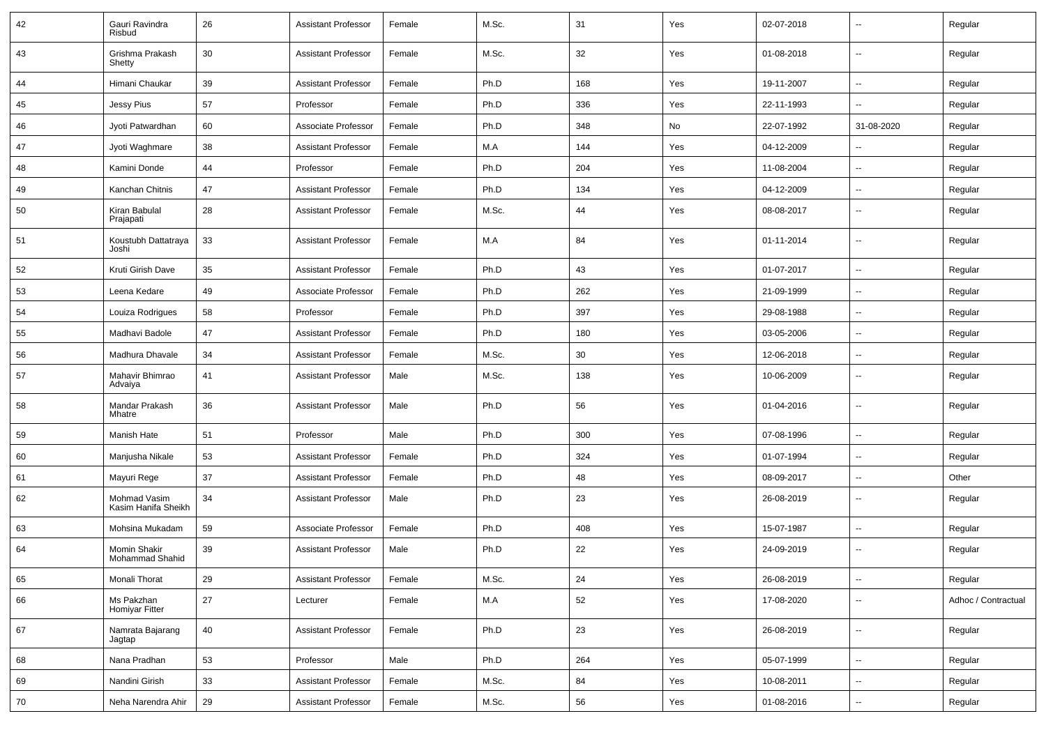| 42 | Gauri Ravindra<br>Risbud               | 26     | <b>Assistant Professor</b> | Female | M.Sc. | 31         | Yes | 02-07-2018 | --                       | Regular             |
|----|----------------------------------------|--------|----------------------------|--------|-------|------------|-----|------------|--------------------------|---------------------|
| 43 | Grishma Prakash<br>Shetty              | 30     | <b>Assistant Professor</b> | Female | M.Sc. | 32         | Yes | 01-08-2018 | $\sim$                   | Regular             |
| 44 | Himani Chaukar                         | 39     | <b>Assistant Professor</b> | Female | Ph.D  | 168        | Yes | 19-11-2007 | $\sim$                   | Regular             |
| 45 | <b>Jessy Pius</b>                      | 57     | Professor                  | Female | Ph.D  | 336        | Yes | 22-11-1993 | --                       | Regular             |
| 46 | Jyoti Patwardhan                       | 60     | Associate Professor        | Female | Ph.D  | 348        | No  | 22-07-1992 | 31-08-2020               | Regular             |
| 47 | Jyoti Waghmare                         | 38     | <b>Assistant Professor</b> | Female | M.A   | 144        | Yes | 04-12-2009 |                          | Regular             |
| 48 | Kamini Donde                           | 44     | Professor                  | Female | Ph.D  | 204        | Yes | 11-08-2004 | --                       | Regular             |
| 49 | Kanchan Chitnis                        | 47     | <b>Assistant Professor</b> | Female | Ph.D  | 134        | Yes | 04-12-2009 | $\sim$                   | Regular             |
| 50 | Kiran Babulal<br>Prajapati             | 28     | <b>Assistant Professor</b> | Female | M.Sc. | 44         | Yes | 08-08-2017 | $\overline{\phantom{a}}$ | Regular             |
| 51 | Koustubh Dattatraya<br>Joshi           | 33     | <b>Assistant Professor</b> | Female | M.A   | 84         | Yes | 01-11-2014 | $\sim$                   | Regular             |
| 52 | Kruti Girish Dave                      | 35     | <b>Assistant Professor</b> | Female | Ph.D  | 43         | Yes | 01-07-2017 | $\overline{\phantom{a}}$ | Regular             |
| 53 | Leena Kedare                           | 49     | Associate Professor        | Female | Ph.D  | 262        | Yes | 21-09-1999 | --                       | Regular             |
| 54 | Louiza Rodrigues                       | 58     | Professor                  | Female | Ph.D  | 397        | Yes | 29-08-1988 | Ξ.                       | Regular             |
| 55 | Madhavi Badole                         | 47     | <b>Assistant Professor</b> | Female | Ph.D  | 180        | Yes | 03-05-2006 | $\overline{\phantom{a}}$ | Regular             |
| 56 | Madhura Dhavale                        | 34     | <b>Assistant Professor</b> | Female | M.Sc. | 30         | Yes | 12-06-2018 | --                       | Regular             |
| 57 | Mahavir Bhimrao<br>Advaiya             | 41     | <b>Assistant Professor</b> | Male   | M.Sc. | 138        | Yes | 10-06-2009 | $\sim$                   | Regular             |
| 58 | Mandar Prakash<br>Mhatre               | 36     | <b>Assistant Professor</b> | Male   | Ph.D  | 56         | Yes | 01-04-2016 | $\overline{\phantom{a}}$ | Regular             |
| 59 | Manish Hate                            | 51     | Professor                  | Male   | Ph.D  | 300        | Yes | 07-08-1996 | $\sim$                   | Regular             |
| 60 | Manjusha Nikale                        | 53     | <b>Assistant Professor</b> | Female | Ph.D  | 324        | Yes | 01-07-1994 | $\overline{\phantom{a}}$ | Regular             |
| 61 | Mayuri Rege                            | 37     | <b>Assistant Professor</b> | Female | Ph.D  | 48         | Yes | 08-09-2017 | $\overline{\phantom{a}}$ | Other               |
| 62 | Mohmad Vasim<br>Kasim Hanifa Sheikh    | 34     | <b>Assistant Professor</b> | Male   | Ph.D  | 23         | Yes | 26-08-2019 | $\overline{a}$           | Regular             |
| 63 | Mohsina Mukadam                        | 59     | Associate Professor        | Female | Ph.D  | 408        | Yes | 15-07-1987 | Ξ.                       | Regular             |
| 64 | <b>Momin Shakir</b><br>Mohammad Shahid | 39     | <b>Assistant Professor</b> | Male   | Ph.D  | 22         | Yes | 24-09-2019 | --                       | Regular             |
| 65 | Monali Thorat                          | 29     | <b>Assistant Professor</b> | Female | M.Sc. | ${\bf 24}$ | Yes | 26-08-2019 | $\ddotsc$                | Regular             |
| 66 | Ms Pakzhan<br>Homiyar Fitter           | $27\,$ | Lecturer                   | Female | M.A   | 52         | Yes | 17-08-2020 | --                       | Adhoc / Contractual |
| 67 | Namrata Bajarang<br>Jagtap             | $40\,$ | <b>Assistant Professor</b> | Female | Ph.D  | 23         | Yes | 26-08-2019 | $\overline{\phantom{a}}$ | Regular             |
| 68 | Nana Pradhan                           | 53     | Professor                  | Male   | Ph.D  | 264        | Yes | 05-07-1999 | $\overline{\phantom{a}}$ | Regular             |
| 69 | Nandini Girish                         | 33     | <b>Assistant Professor</b> | Female | M.Sc. | 84         | Yes | 10-08-2011 | $\overline{\phantom{a}}$ | Regular             |
| 70 | Neha Narendra Ahir                     | 29     | <b>Assistant Professor</b> | Female | M.Sc. | 56         | Yes | 01-08-2016 | $\sim$                   | Regular             |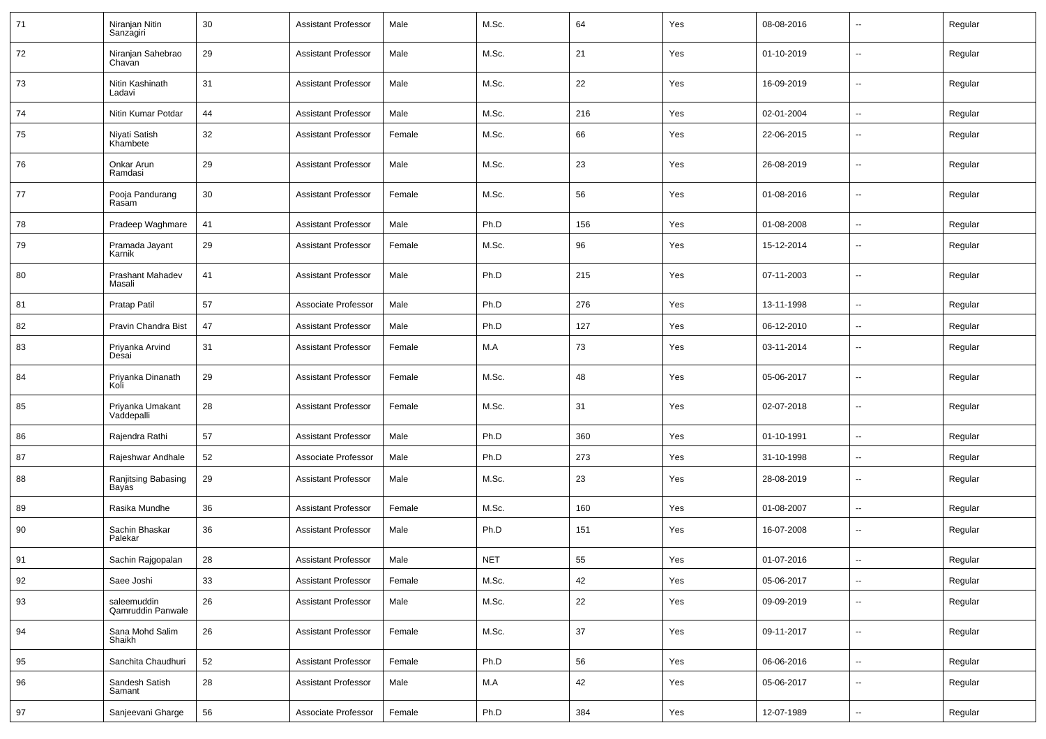| 71 | Niranjan Nitin<br>Sanzagiri      | 30 | <b>Assistant Professor</b> | Male   | M.Sc.      | 64  | Yes | 08-08-2016 | $\sim$                   | Regular |
|----|----------------------------------|----|----------------------------|--------|------------|-----|-----|------------|--------------------------|---------|
| 72 | Niranjan Sahebrao<br>Chavan      | 29 | <b>Assistant Professor</b> | Male   | M.Sc.      | 21  | Yes | 01-10-2019 | $\sim$                   | Regular |
| 73 | Nitin Kashinath<br>Ladavi        | 31 | <b>Assistant Professor</b> | Male   | M.Sc.      | 22  | Yes | 16-09-2019 | $\sim$                   | Regular |
| 74 | Nitin Kumar Potdar               | 44 | <b>Assistant Professor</b> | Male   | M.Sc.      | 216 | Yes | 02-01-2004 | $\sim$                   | Regular |
| 75 | Niyati Satish<br>Khambete        | 32 | <b>Assistant Professor</b> | Female | M.Sc.      | 66  | Yes | 22-06-2015 | --                       | Regular |
| 76 | Onkar Arun<br>Ramdasi            | 29 | <b>Assistant Professor</b> | Male   | M.Sc.      | 23  | Yes | 26-08-2019 | $\overline{a}$           | Regular |
| 77 | Pooja Pandurang<br>Rasam         | 30 | <b>Assistant Professor</b> | Female | M.Sc.      | 56  | Yes | 01-08-2016 | $\overline{\phantom{a}}$ | Regular |
| 78 | Pradeep Waghmare                 | 41 | <b>Assistant Professor</b> | Male   | Ph.D       | 156 | Yes | 01-08-2008 | Щ,                       | Regular |
| 79 | Pramada Jayant<br>Karnik         | 29 | <b>Assistant Professor</b> | Female | M.Sc.      | 96  | Yes | 15-12-2014 | $\overline{\phantom{a}}$ | Regular |
| 80 | Prashant Mahadev<br>Masali       | 41 | <b>Assistant Professor</b> | Male   | Ph.D       | 215 | Yes | 07-11-2003 | $\overline{\phantom{a}}$ | Regular |
| 81 | Pratap Patil                     | 57 | Associate Professor        | Male   | Ph.D       | 276 | Yes | 13-11-1998 | --                       | Regular |
| 82 | Pravin Chandra Bist              | 47 | <b>Assistant Professor</b> | Male   | Ph.D       | 127 | Yes | 06-12-2010 | $\overline{a}$           | Regular |
| 83 | Priyanka Arvind<br>Desai         | 31 | <b>Assistant Professor</b> | Female | M.A        | 73  | Yes | 03-11-2014 | $\overline{\phantom{a}}$ | Regular |
| 84 | Priyanka Dinanath<br>Koli        | 29 | <b>Assistant Professor</b> | Female | M.Sc.      | 48  | Yes | 05-06-2017 | $\overline{\phantom{a}}$ | Regular |
| 85 | Priyanka Umakant<br>Vaddepalli   | 28 | <b>Assistant Professor</b> | Female | M.Sc.      | 31  | Yes | 02-07-2018 | $\overline{\phantom{a}}$ | Regular |
| 86 | Rajendra Rathi                   | 57 | <b>Assistant Professor</b> | Male   | Ph.D       | 360 | Yes | 01-10-1991 | $\overline{\phantom{a}}$ | Regular |
| 87 | Rajeshwar Andhale                | 52 | Associate Professor        | Male   | Ph.D       | 273 | Yes | 31-10-1998 | $\sim$                   | Regular |
| 88 | Ranjitsing Babasing<br>Bayas     | 29 | <b>Assistant Professor</b> | Male   | M.Sc.      | 23  | Yes | 28-08-2019 | $\sim$                   | Regular |
| 89 | Rasika Mundhe                    | 36 | <b>Assistant Professor</b> | Female | M.Sc.      | 160 | Yes | 01-08-2007 | $\sim$                   | Regular |
| 90 | Sachin Bhaskar<br>Palekar        | 36 | <b>Assistant Professor</b> | Male   | Ph.D       | 151 | Yes | 16-07-2008 | $\overline{\phantom{a}}$ | Regular |
| 91 | Sachin Rajgopalan                | 28 | <b>Assistant Professor</b> | Male   | <b>NET</b> | 55  | Yes | 01-07-2016 | --                       | Regular |
| 92 | Saee Joshi                       | 33 | <b>Assistant Professor</b> | Female | M.Sc.      | 42  | Yes | 05-06-2017 | $\sim$                   | Regular |
| 93 | saleemuddin<br>Qamruddin Panwale | 26 | <b>Assistant Professor</b> | Male   | M.Sc.      | 22  | Yes | 09-09-2019 | $\sim$                   | Regular |
| 94 | Sana Mohd Salim<br>Shaikh        | 26 | <b>Assistant Professor</b> | Female | M.Sc.      | 37  | Yes | 09-11-2017 | $\sim$                   | Regular |
| 95 | Sanchita Chaudhuri               | 52 | <b>Assistant Professor</b> | Female | Ph.D       | 56  | Yes | 06-06-2016 | $\sim$                   | Regular |
| 96 | Sandesh Satish<br>Samant         | 28 | <b>Assistant Professor</b> | Male   | M.A        | 42  | Yes | 05-06-2017 | Ξ.                       | Regular |
| 97 | Sanjeevani Gharge                | 56 | Associate Professor        | Female | Ph.D       | 384 | Yes | 12-07-1989 | $\bar{\phantom{a}}$      | Regular |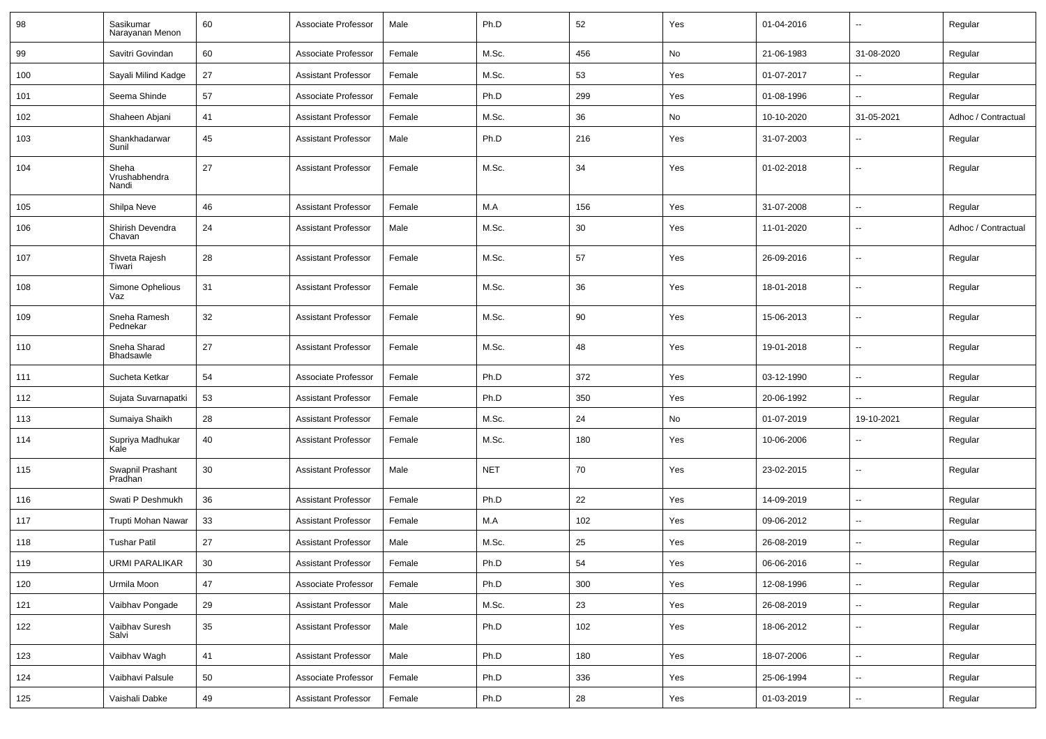| 98  | Sasikumar<br>Narayanan Menon    | 60 | Associate Professor        | Male   | Ph.D       | 52  | Yes | 01-04-2016 | $\overline{\phantom{a}}$ | Regular             |
|-----|---------------------------------|----|----------------------------|--------|------------|-----|-----|------------|--------------------------|---------------------|
| 99  | Savitri Govindan                | 60 | Associate Professor        | Female | M.Sc.      | 456 | No  | 21-06-1983 | 31-08-2020               | Regular             |
| 100 | Sayali Milind Kadge             | 27 | <b>Assistant Professor</b> | Female | M.Sc.      | 53  | Yes | 01-07-2017 | $\overline{\phantom{a}}$ | Regular             |
| 101 | Seema Shinde                    | 57 | Associate Professor        | Female | Ph.D       | 299 | Yes | 01-08-1996 | --                       | Regular             |
| 102 | Shaheen Abjani                  | 41 | <b>Assistant Professor</b> | Female | M.Sc.      | 36  | No  | 10-10-2020 | 31-05-2021               | Adhoc / Contractual |
| 103 | Shankhadarwar<br>Sunil          | 45 | <b>Assistant Professor</b> | Male   | Ph.D       | 216 | Yes | 31-07-2003 | --                       | Regular             |
| 104 | Sheha<br>Vrushabhendra<br>Nandi | 27 | <b>Assistant Professor</b> | Female | M.Sc.      | 34  | Yes | 01-02-2018 | Ξ.                       | Regular             |
| 105 | Shilpa Neve                     | 46 | <b>Assistant Professor</b> | Female | M.A        | 156 | Yes | 31-07-2008 | $\overline{\phantom{a}}$ | Regular             |
| 106 | Shirish Devendra<br>Chavan      | 24 | <b>Assistant Professor</b> | Male   | M.Sc.      | 30  | Yes | 11-01-2020 | $\overline{\phantom{a}}$ | Adhoc / Contractual |
| 107 | Shveta Rajesh<br>Tiwari         | 28 | <b>Assistant Professor</b> | Female | M.Sc.      | 57  | Yes | 26-09-2016 | $\overline{\phantom{a}}$ | Regular             |
| 108 | Simone Ophelious<br>Vaz         | 31 | <b>Assistant Professor</b> | Female | M.Sc.      | 36  | Yes | 18-01-2018 | $\mathbf{u}$             | Regular             |
| 109 | Sneha Ramesh<br>Pednekar        | 32 | <b>Assistant Professor</b> | Female | M.Sc.      | 90  | Yes | 15-06-2013 | Ξ.                       | Regular             |
| 110 | Sneha Sharad<br>Bhadsawle       | 27 | <b>Assistant Professor</b> | Female | M.Sc.      | 48  | Yes | 19-01-2018 | $\overline{\phantom{a}}$ | Regular             |
| 111 | Sucheta Ketkar                  | 54 | Associate Professor        | Female | Ph.D       | 372 | Yes | 03-12-1990 | $\mathbf{u}$             | Regular             |
| 112 | Sujata Suvarnapatki             | 53 | <b>Assistant Professor</b> | Female | Ph.D       | 350 | Yes | 20-06-1992 | $\overline{\phantom{a}}$ | Regular             |
| 113 | Sumaiya Shaikh                  | 28 | <b>Assistant Professor</b> | Female | M.Sc.      | 24  | No  | 01-07-2019 | 19-10-2021               | Regular             |
| 114 | Supriya Madhukar<br>Kale        | 40 | <b>Assistant Professor</b> | Female | M.Sc.      | 180 | Yes | 10-06-2006 | --                       | Regular             |
| 115 | Swapnil Prashant<br>Pradhan     | 30 | <b>Assistant Professor</b> | Male   | <b>NET</b> | 70  | Yes | 23-02-2015 | $\overline{\phantom{a}}$ | Regular             |
| 116 | Swati P Deshmukh                | 36 | <b>Assistant Professor</b> | Female | Ph.D       | 22  | Yes | 14-09-2019 | Ξ.                       | Regular             |
| 117 | Trupti Mohan Nawar              | 33 | <b>Assistant Professor</b> | Female | M.A        | 102 | Yes | 09-06-2012 | $\overline{\phantom{a}}$ | Regular             |
| 118 | <b>Tushar Patil</b>             | 27 | <b>Assistant Professor</b> | Male   | M.Sc.      | 25  | Yes | 26-08-2019 | --                       | Regular             |
| 119 | <b>URMI PARALIKAR</b>           | 30 | <b>Assistant Professor</b> | Female | Ph.D       | 54  | Yes | 06-06-2016 | -−                       | Regular             |
| 120 | Urmila Moon                     | 47 | Associate Professor        | Female | Ph.D       | 300 | Yes | 12-08-1996 | $\sim$                   | Regular             |
| 121 | Vaibhav Pongade                 | 29 | <b>Assistant Professor</b> | Male   | M.Sc.      | 23  | Yes | 26-08-2019 | $\sim$                   | Regular             |
| 122 | Vaibhav Suresh<br>Salvi         | 35 | <b>Assistant Professor</b> | Male   | Ph.D       | 102 | Yes | 18-06-2012 | $\sim$                   | Regular             |
| 123 | Vaibhav Wagh                    | 41 | <b>Assistant Professor</b> | Male   | Ph.D       | 180 | Yes | 18-07-2006 | $\overline{\phantom{a}}$ | Regular             |
| 124 | Vaibhavi Palsule                | 50 | Associate Professor        | Female | Ph.D       | 336 | Yes | 25-06-1994 | $\overline{\phantom{a}}$ | Regular             |
| 125 | Vaishali Dabke                  | 49 | <b>Assistant Professor</b> | Female | Ph.D       | 28  | Yes | 01-03-2019 | н.                       | Regular             |